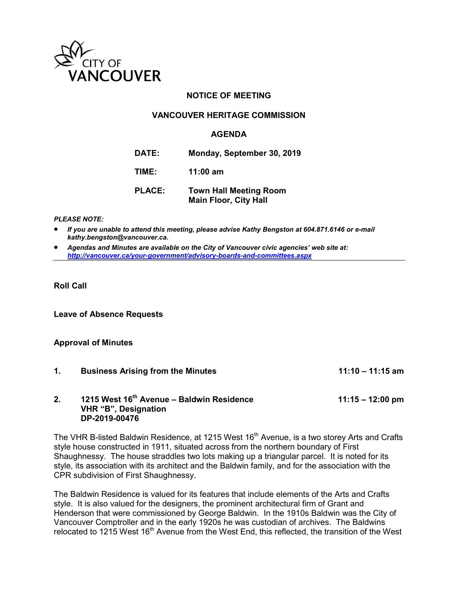

## **NOTICE OF MEETING**

## **VANCOUVER HERITAGE COMMISSION**

### **AGENDA**

**DATE: Monday, September 30, 2019**

**TIME: 11:00 am**

**PLACE: Town Hall Meeting Room Main Floor, City Hall** 

#### *PLEASE NOTE:*

 *If you are unable to attend this meeting, please advise Kathy Bengston at 604.871.6146 or e-mail kathy.bengston@vancouver.ca.* 

 *Agendas and Minutes are available on the City of Vancouver civic agencies' web site at: <http://vancouver.ca/your-government/advisory-boards-and-committees.aspx>*

**Roll Call** 

**Leave of Absence Requests** 

#### **Approval of Minutes**

**1. Business Arising from the Minutes 11:10 – 11:15 am 2. 1215 West 16th Avenue – Baldwin Residence 11:15 – 12:00 pm VHR "B", Designation DP-2019-00476**

The VHR B-listed Baldwin Residence, at 1215 West 16<sup>th</sup> Avenue, is a two storey Arts and Crafts style house constructed in 1911, situated across from the northern boundary of First Shaughnessy. The house straddles two lots making up a triangular parcel. It is noted for its style, its association with its architect and the Baldwin family, and for the association with the CPR subdivision of First Shaughnessy.

The Baldwin Residence is valued for its features that include elements of the Arts and Crafts style. It is also valued for the designers, the prominent architectural firm of Grant and Henderson that were commissioned by George Baldwin. In the 1910s Baldwin was the City of Vancouver Comptroller and in the early 1920s he was custodian of archives. The Baldwins relocated to 1215 West 16<sup>th</sup> Avenue from the West End, this reflected, the transition of the West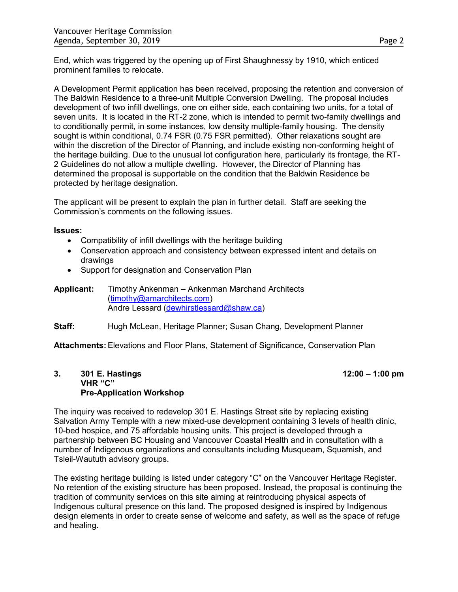End, which was triggered by the opening up of First Shaughnessy by 1910, which enticed prominent families to relocate.

A Development Permit application has been received, proposing the retention and conversion of The Baldwin Residence to a three-unit Multiple Conversion Dwelling. The proposal includes development of two infill dwellings, one on either side, each containing two units, for a total of seven units. It is located in the RT-2 zone, which is intended to permit two-family dwellings and to conditionally permit, in some instances, low density multiple-family housing. The density sought is within conditional, 0.74 FSR (0.75 FSR permitted). Other relaxations sought are within the discretion of the Director of Planning, and include existing non-conforming height of the heritage building. Due to the unusual lot configuration here, particularly its frontage, the RT-2 Guidelines do not allow a multiple dwelling. However, the Director of Planning has determined the proposal is supportable on the condition that the Baldwin Residence be protected by heritage designation.

The applicant will be present to explain the plan in further detail. Staff are seeking the Commission's comments on the following issues.

#### **Issues:**

- Compatibility of infill dwellings with the heritage building
- Conservation approach and consistency between expressed intent and details on drawings
- Support for designation and Conservation Plan
- **Applicant:** Timothy Ankenman Ankenman Marchand Architects [\(timothy@amarchitects.com\)](mailto:timothy@amarchitects.com) Andre Lessard [\(dewhirstlessard@shaw.ca\)](mailto:dewhirstlessard@shaw.ca)
- **Staff:** Hugh McLean, Heritage Planner; Susan Chang, Development Planner

**Attachments:** Elevations and Floor Plans, Statement of Significance, Conservation Plan

#### **3. 301 E. Hastings 12:00 – 1:00 pm VHR "C" Pre-Application Workshop**

The inquiry was received to redevelop 301 E. Hastings Street site by replacing existing Salvation Army Temple with a new mixed-use development containing 3 levels of health clinic, 10-bed hospice, and 75 affordable housing units. This project is developed through a partnership between BC Housing and Vancouver Coastal Health and in consultation with a number of Indigenous organizations and consultants including Musqueam, Squamish, and Tsleil-Waututh advisory groups.

The existing heritage building is listed under category "C" on the Vancouver Heritage Register. No retention of the existing structure has been proposed. Instead, the proposal is continuing the tradition of community services on this site aiming at reintroducing physical aspects of Indigenous cultural presence on this land. The proposed designed is inspired by Indigenous design elements in order to create sense of welcome and safety, as well as the space of refuge and healing.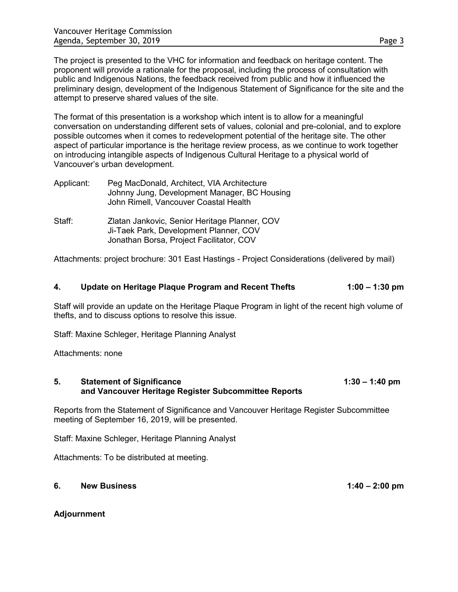The project is presented to the VHC for information and feedback on heritage content. The proponent will provide a rationale for the proposal, including the process of consultation with public and Indigenous Nations, the feedback received from public and how it influenced the preliminary design, development of the Indigenous Statement of Significance for the site and the attempt to preserve shared values of the site.

The format of this presentation is a workshop which intent is to allow for a meaningful conversation on understanding different sets of values, colonial and pre-colonial, and to explore possible outcomes when it comes to redevelopment potential of the heritage site. The other aspect of particular importance is the heritage review process, as we continue to work together on introducing intangible aspects of Indigenous Cultural Heritage to a physical world of Vancouver's urban development.

| Applicant: | Peg MacDonald, Architect, VIA Architecture<br>Johnny Jung, Development Manager, BC Housing<br>John Rimell, Vancouver Coastal Health |
|------------|-------------------------------------------------------------------------------------------------------------------------------------|
| Staff:     | Zlatan Jankovic, Senior Heritage Planner, COV<br>Ji-Taek Park, Development Planner, COV<br>Jonathan Borsa, Project Facilitator, COV |

Attachments: project brochure: 301 East Hastings - Project Considerations (delivered by mail)

#### **4. Update on Heritage Plaque Program and Recent Thefts 1:00 – 1:30 pm**

Staff will provide an update on the Heritage Plaque Program in light of the recent high volume of thefts, and to discuss options to resolve this issue.

Staff: Maxine Schleger, Heritage Planning Analyst

Attachments: none

#### **5.** Statement of Significance **1:30 – 1:40 pm and Vancouver Heritage Register Subcommittee Reports**

Reports from the Statement of Significance and Vancouver Heritage Register Subcommittee meeting of September 16, 2019, will be presented.

Staff: Maxine Schleger, Heritage Planning Analyst

Attachments: To be distributed at meeting.

## **6. New Business 1:40 – 2:00 pm**

**Adjournment**